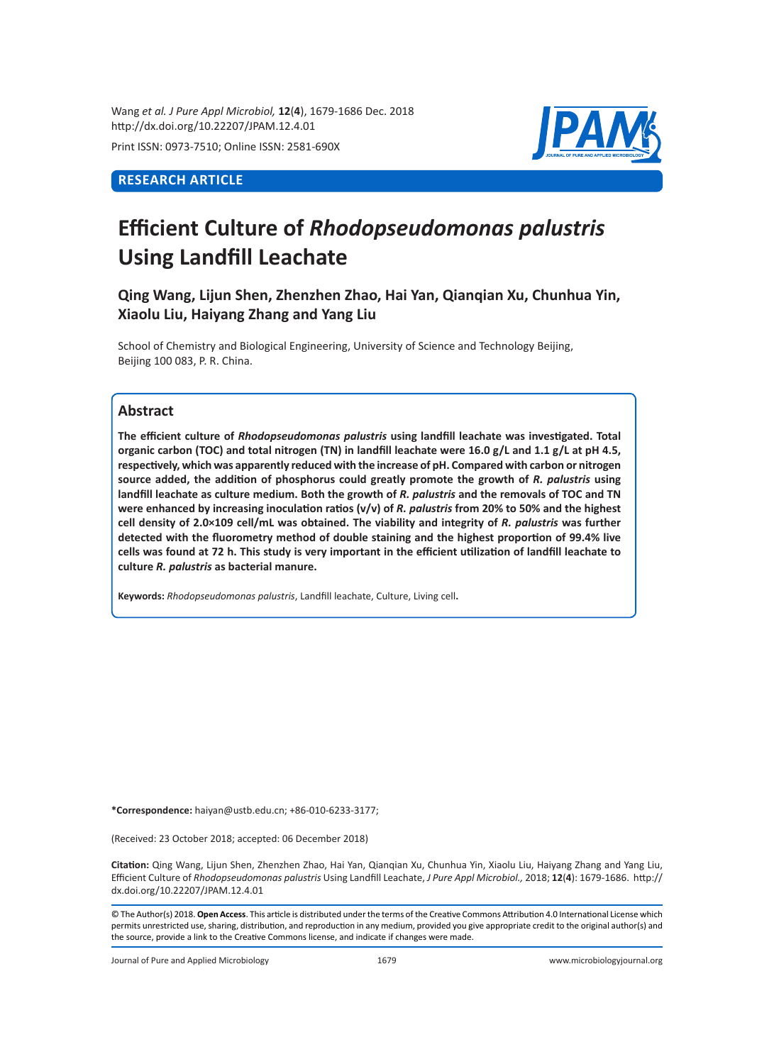Wang *et al. J Pure Appl Microbiol,* **12**(**4**), 1679-1686 Dec. 2018 http://dx.doi.org/10.22207/JPAM.12.4.01

Print ISSN: 0973-7510; Online ISSN: 2581-690X

## **RESEARCH ARTICLE**



# **Efficient Culture of** *Rhodopseudomonas palustris* **Using Landfill Leachate**

**Qing Wang, Lijun Shen, Zhenzhen Zhao, Hai Yan, Qianqian Xu, Chunhua Yin, Xiaolu Liu, Haiyang Zhang and Yang Liu** 

School of Chemistry and Biological Engineering, University of Science and Technology Beijing, Beijing 100 083, P. R. China.

## **Abstract**

**The efficient culture of** *Rhodopseudomonas palustris* **using landfill leachate was investigated. Total organic carbon (TOC) and total nitrogen (TN) in landfill leachate were 16.0 g/L and 1.1 g/L at pH 4.5, respectively, which was apparently reduced with the increase of pH. Compared with carbon or nitrogen source added, the addition of phosphorus could greatly promote the growth of** *R. palustris* **using**  landfill leachate as culture medium. Both the growth of *R. palustris* and the removals of TOC and TN were enhanced by increasing inoculation ratios (v/v) of *R. palustris* from 20% to 50% and the highest **cell density of 2.0×109 cell/mL was obtained. The viability and integrity of** *R. palustris* **was further detected with the fluorometry method of double staining and the highest proportion of 99.4% live cells was found at 72 h. This study is very important in the efficient utilization of landfill leachate to culture** *R. palustris* **as bacterial manure.**

**Keywords:** *Rhodopseudomonas palustris*, Landfill leachate, Culture, Living cell**.**

**\*Correspondence:** haiyan@ustb.edu.cn; +86-010-6233-3177;

(Received: 23 October 2018; accepted: 06 December 2018)

**Citation:** Qing Wang, Lijun Shen, Zhenzhen Zhao, Hai Yan, Qianqian Xu, Chunhua Yin, Xiaolu Liu, Haiyang Zhang and Yang Liu, Efficient Culture of *Rhodopseudomonas palustris* Using Landfill Leachate, *J Pure Appl Microbiol.,* 2018; **12**(**4**): 1679-1686. http:// dx.doi.org/10.22207/JPAM.12.4.01

© The Author(s) 2018. **Open Access**. This article is distributed under the terms of the Creative Commons Attribution 4.0 International License which permits unrestricted use, sharing, distribution, and reproduction in any medium, provided you give appropriate credit to the original author(s) and the source, provide a link to the Creative Commons license, and indicate if changes were made.

Journal of Pure and Applied Microbiology 1679 www.microbiologyjournal.org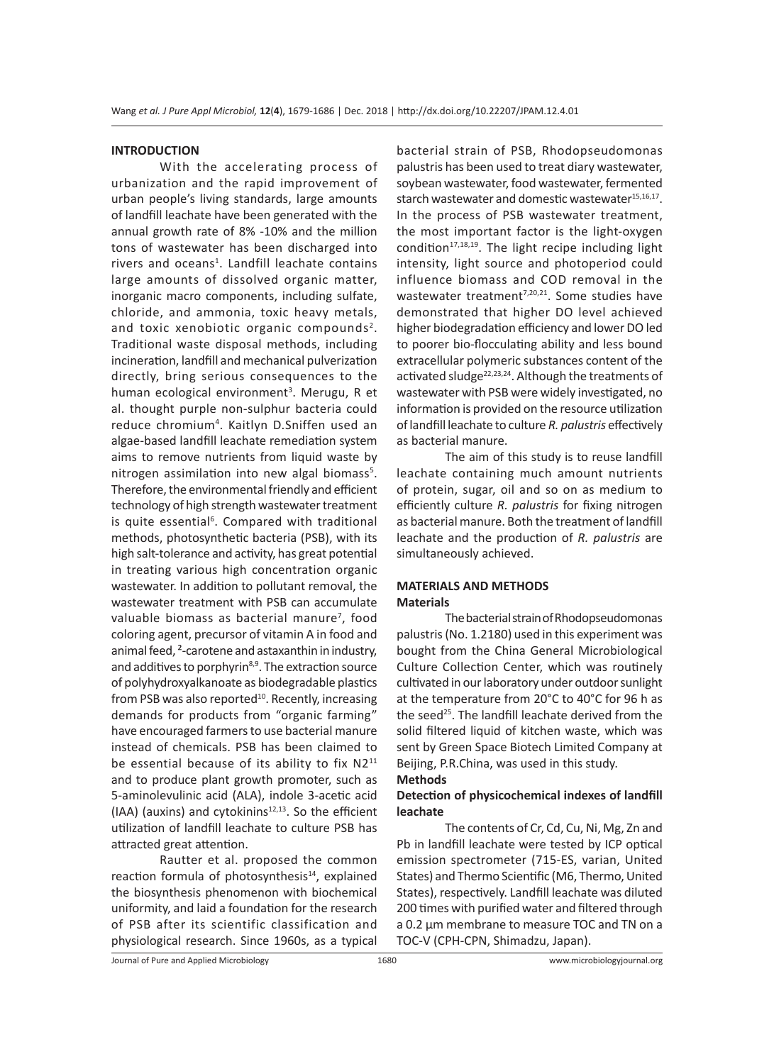#### **INTRODUCTION**

With the accelerating process of urbanization and the rapid improvement of urban people's living standards, large amounts of landfill leachate have been generated with the annual growth rate of 8% -10% and the million tons of wastewater has been discharged into rivers and oceans<sup>1</sup>. Landfill leachate contains large amounts of dissolved organic matter, inorganic macro components, including sulfate, chloride, and ammonia, toxic heavy metals, and toxic xenobiotic organic compounds<sup>2</sup>. Traditional waste disposal methods, including incineration, landfill and mechanical pulverization directly, bring serious consequences to the human ecological environment<sup>3</sup>. Merugu, R et al. thought purple non-sulphur bacteria could reduce chromium4 . Kaitlyn D.Sniffen used an algae-based landfill leachate remediation system aims to remove nutrients from liquid waste by nitrogen assimilation into new algal biomass<sup>5</sup>. Therefore, the environmental friendly and efficient technology of high strength wastewater treatment is quite essential<sup>6</sup>. Compared with traditional methods, photosynthetic bacteria (PSB), with its high salt-tolerance and activity, has great potential in treating various high concentration organic wastewater. In addition to pollutant removal, the wastewater treatment with PSB can accumulate valuable biomass as bacterial manure<sup>7</sup>, food coloring agent, precursor of vitamin A in food and animal feed, ²-carotene and astaxanthin in industry, and additives to porphyrin<sup>8,9</sup>. The extraction source of polyhydroxyalkanoate as biodegradable plastics from PSB was also reported<sup>10</sup>. Recently, increasing demands for products from "organic farming" have encouraged farmers to use bacterial manure instead of chemicals. PSB has been claimed to be essential because of its ability to fix N2<sup>11</sup> and to produce plant growth promoter, such as 5-aminolevulinic acid (ALA), indole 3-acetic acid  $(IAA)$  (auxins) and cytokinins<sup>12,13</sup>. So the efficient utilization of landfill leachate to culture PSB has attracted great attention.

Rautter et al. proposed the common reaction formula of photosynthesis $14$ , explained the biosynthesis phenomenon with biochemical uniformity, and laid a foundation for the research of PSB after its scientific classification and physiological research. Since 1960s, as a typical bacterial strain of PSB, Rhodopseudomonas palustris has been used to treat diary wastewater, soybean wastewater, food wastewater, fermented starch wastewater and domestic wastewater<sup>15,16,17</sup>. In the process of PSB wastewater treatment, the most important factor is the light-oxygen condition $17,18,19$ . The light recipe including light intensity, light source and photoperiod could influence biomass and COD removal in the wastewater treatment<sup>7,20,21</sup>. Some studies have demonstrated that higher DO level achieved higher biodegradation efficiency and lower DO led to poorer bio-flocculating ability and less bound extracellular polymeric substances content of the activated sludge<sup>22,23,24</sup>. Although the treatments of wastewater with PSB were widely investigated, no information is provided on the resource utilization of landfill leachate to culture *R. palustris* effectively as bacterial manure.

The aim of this study is to reuse landfill leachate containing much amount nutrients of protein, sugar, oil and so on as medium to efficiently culture *R. palustris* for fixing nitrogen as bacterial manure. Both the treatment of landfill leachate and the production of *R. palustris* are simultaneously achieved.

#### **MATERIALS AND METHODS Materials**

The bacterial strain of Rhodopseudomonas palustris (No. 1.2180) used in this experiment was bought from the China General Microbiological Culture Collection Center, which was routinely cultivated in our laboratory under outdoor sunlight at the temperature from 20°C to 40°C for 96 h as the seed<sup>25</sup>. The landfill leachate derived from the solid filtered liquid of kitchen waste, which was sent by Green Space Biotech Limited Company at Beijing, P.R.China, was used in this study.

#### **Methods**

#### **Detection of physicochemical indexes of landfill leachate**

The contents of Cr, Cd, Cu, Ni, Mg, Zn and Pb in landfill leachate were tested by ICP optical emission spectrometer (715-ES, varian, United States) and Thermo Scientific (M6, Thermo, United States), respectively. Landfill leachate was diluted 200 times with purified water and filtered through a 0.2 µm membrane to measure TOC and TN on a TOC-V (CPH-CPN, Shimadzu, Japan).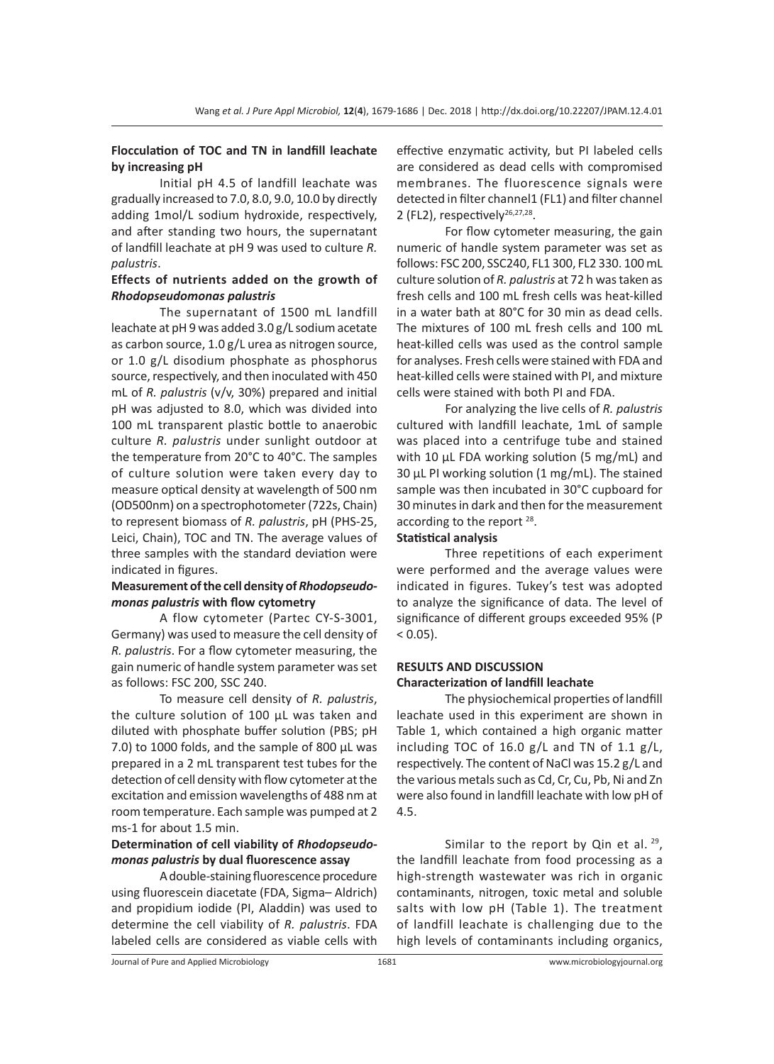## **Flocculation of TOC and TN in landfill leachate by increasing pH**

Initial pH 4.5 of landfill leachate was gradually increased to 7.0, 8.0, 9.0, 10.0 by directly adding 1mol/L sodium hydroxide, respectively, and after standing two hours, the supernatant of landfill leachate at pH 9 was used to culture *R. palustris*.

## **Effects of nutrients added on the growth of**  *Rhodopseudomonas palustris*

The supernatant of 1500 mL landfill leachate at pH 9 was added 3.0 g/L sodium acetate as carbon source, 1.0 g/L urea as nitrogen source, or 1.0 g/L disodium phosphate as phosphorus source, respectively, and then inoculated with 450 mL of *R. palustris* (v/v, 30%) prepared and initial pH was adjusted to 8.0, which was divided into 100 mL transparent plastic bottle to anaerobic culture *R. palustris* under sunlight outdoor at the temperature from 20°C to 40°C. The samples of culture solution were taken every day to measure optical density at wavelength of 500 nm (OD500nm) on a spectrophotometer (722s, Chain) to represent biomass of *R. palustris*, pH (PHS-25, Leici, Chain), TOC and TN. The average values of three samples with the standard deviation were indicated in figures.

## **Measurement of the cell density of** *Rhodopseudomonas palustris* **with flow cytometry**

A flow cytometer (Partec CY-S-3001, Germany) was used to measure the cell density of *R. palustris*. For a flow cytometer measuring, the gain numeric of handle system parameter was set as follows: FSC 200, SSC 240.

To measure cell density of *R. palustris*, the culture solution of 100 µL was taken and diluted with phosphate buffer solution (PBS; pH 7.0) to 1000 folds, and the sample of 800 µL was prepared in a 2 mL transparent test tubes for the detection of cell density with flow cytometer at the excitation and emission wavelengths of 488 nm at room temperature. Each sample was pumped at 2 ms-1 for about 1.5 min.

## **Determination of cell viability of** *Rhodopseudomonas palustris* **by dual fluorescence assay**

A double-staining fluorescence procedure using fluorescein diacetate (FDA, Sigma– Aldrich) and propidium iodide (PI, Aladdin) was used to determine the cell viability of *R. palustris*. FDA labeled cells are considered as viable cells with effective enzymatic activity, but PI labeled cells are considered as dead cells with compromised membranes. The fluorescence signals were detected in filter channel1 (FL1) and filter channel 2 (FL2), respectively<sup>26,27,28</sup>.

For flow cytometer measuring, the gain numeric of handle system parameter was set as follows: FSC 200, SSC240, FL1 300, FL2 330. 100 mL culture solution of *R. palustris* at 72 h was taken as fresh cells and 100 mL fresh cells was heat-killed in a water bath at 80°C for 30 min as dead cells. The mixtures of 100 mL fresh cells and 100 mL heat-killed cells was used as the control sample for analyses. Fresh cells were stained with FDA and heat-killed cells were stained with PI, and mixture cells were stained with both PI and FDA.

For analyzing the live cells of *R. palustris* cultured with landfill leachate, 1mL of sample was placed into a centrifuge tube and stained with 10 µL FDA working solution (5 mg/mL) and 30 µL PI working solution (1 mg/mL). The stained sample was then incubated in 30°C cupboard for 30 minutes in dark and then for the measurement according to the report <sup>28</sup>.

#### **Statistical analysis**

Three repetitions of each experiment were performed and the average values were indicated in figures. Tukey's test was adopted to analyze the significance of data. The level of significance of different groups exceeded 95% (P  $< 0.05$ ).

## **RESULTS AND DISCUSSION Characterization of landfill leachate**

The physiochemical properties of landfill leachate used in this experiment are shown in Table 1, which contained a high organic matter including TOC of 16.0  $g/L$  and TN of 1.1  $g/L$ , respectively. The content of NaCl was 15.2 g/L and the various metals such as Cd, Cr, Cu, Pb, Ni and Zn were also found in landfill leachate with low pH of 4.5.

Similar to the report by Qin et al.  $29$ , the landfill leachate from food processing as a high-strength wastewater was rich in organic contaminants, nitrogen, toxic metal and soluble salts with low pH (Table 1). The treatment of landfill leachate is challenging due to the high levels of contaminants including organics,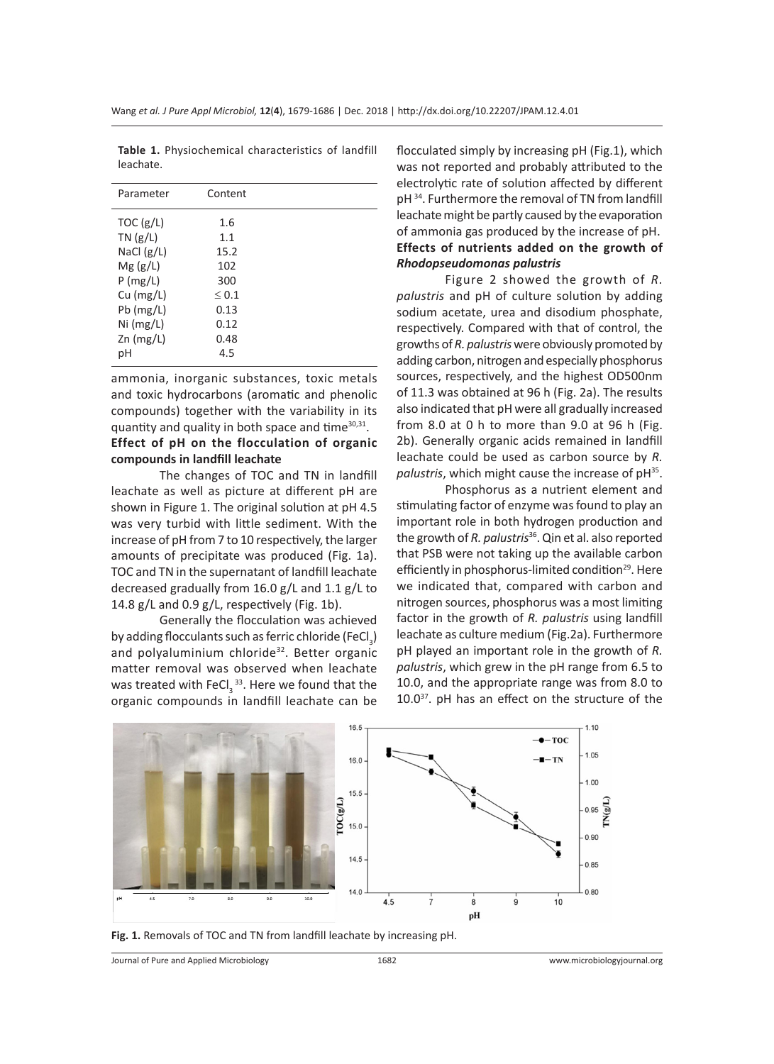| Parameter    | Content    |  |
|--------------|------------|--|
| TOC $(g/L)$  | 1.6        |  |
| TN(g/L)      | 1.1        |  |
| NaCl $(g/L)$ | 15.2       |  |
| Mg(g/L)      | 102        |  |
| P(mg/L)      | 300        |  |
| $Cu$ (mg/L)  | $\leq 0.1$ |  |
| $Pb$ (mg/L)  | 0.13       |  |
| Ni (mg/L)    | 0.12       |  |
| $Zn$ (mg/L)  | 0.48       |  |
| рH           | 4.5        |  |
|              |            |  |

**Table 1.** Physiochemical characteristics of landfill leachate.

ammonia, inorganic substances, toxic metals and toxic hydrocarbons (aromatic and phenolic compounds) together with the variability in its quantity and quality in both space and time $30,31$ .

## **Effect of pH on the flocculation of organic compounds in landfill leachate**

The changes of TOC and TN in landfill leachate as well as picture at different pH are shown in Figure 1. The original solution at pH 4.5 was very turbid with little sediment. With the increase of pH from 7 to 10 respectively, the larger amounts of precipitate was produced (Fig. 1a). TOC and TN in the supernatant of landfill leachate decreased gradually from 16.0 g/L and 1.1 g/L to 14.8 g/L and 0.9 g/L, respectively (Fig. 1b).

Generally the flocculation was achieved by adding flocculants such as ferric chloride (FeCl $_3$ ) and polyaluminium chloride<sup>32</sup>. Better organic matter removal was observed when leachate was treated with FeCl<sub>3</sub><sup>33</sup>. Here we found that the organic compounds in landfill leachate can be

flocculated simply by increasing pH (Fig.1), which was not reported and probably attributed to the electrolytic rate of solution affected by different pH 34. Furthermore the removal of TN from landfill leachate might be partly caused by the evaporation of ammonia gas produced by the increase of pH. **Effects of nutrients added on the growth of**  *Rhodopseudomonas palustris*

Figure 2 showed the growth of *R. palustris* and pH of culture solution by adding sodium acetate, urea and disodium phosphate, respectively. Compared with that of control, the growths of *R. palustris* were obviously promoted by adding carbon, nitrogen and especially phosphorus sources, respectively, and the highest OD500nm of 11.3 was obtained at 96 h (Fig. 2a). The results also indicated that pH were all gradually increased from 8.0 at 0 h to more than 9.0 at 96 h (Fig. 2b). Generally organic acids remained in landfill leachate could be used as carbon source by *R. palustris*, which might cause the increase of pH35.

Phosphorus as a nutrient element and stimulating factor of enzyme was found to play an important role in both hydrogen production and the growth of *R. palustris*36. Qin et al. also reported that PSB were not taking up the available carbon efficiently in phosphorus-limited condition<sup>29</sup>. Here we indicated that, compared with carbon and nitrogen sources, phosphorus was a most limiting factor in the growth of *R. palustris* using landfill leachate as culture medium (Fig.2a). Furthermore pH played an important role in the growth of *R. palustris*, which grew in the pH range from 6.5 to 10.0, and the appropriate range was from 8.0 to 10.037. pH has an effect on the structure of the



**Fig. 1.** Removals of TOC and TN from landfill leachate by increasing pH.

Journal of Pure and Applied Microbiology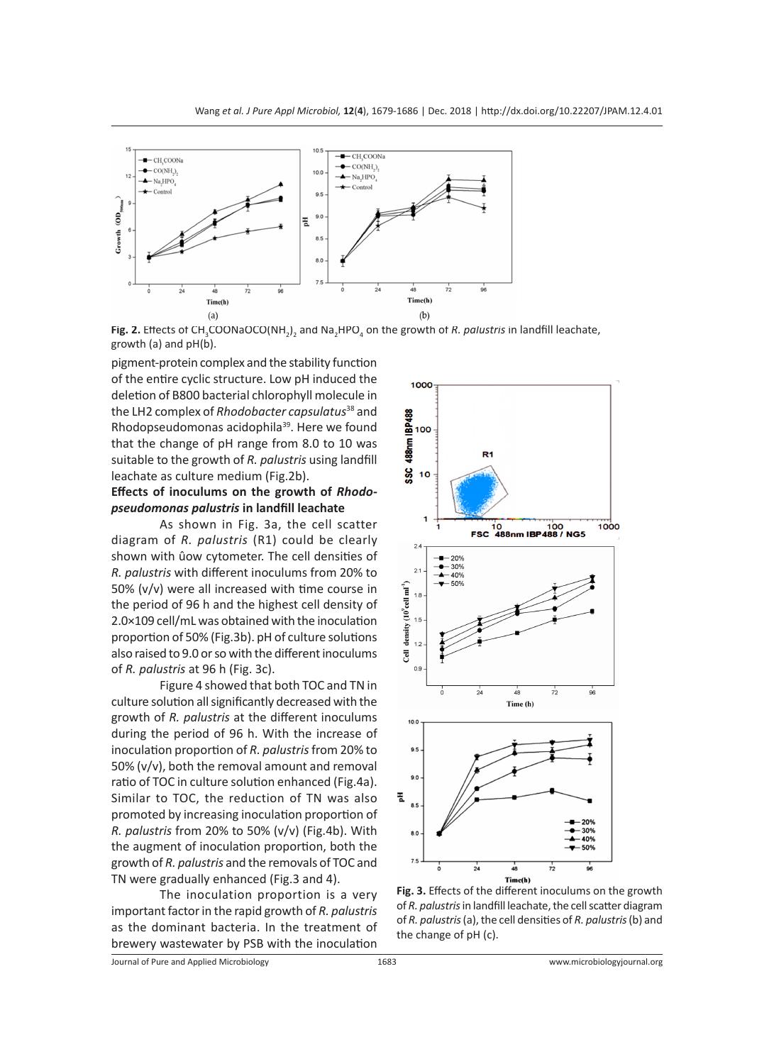

Fig. 2. Effects of CH<sub>3</sub>COONaOCO(NH<sub>2</sub>)<sub>2</sub> and Na<sub>2</sub>HPO<sub>4</sub> on the growth of *R. palustris* in landfill leachate, growth (a) and pH(b).

pigment-protein complex and the stability function of the entire cyclic structure. Low pH induced the deletion of B800 bacterial chlorophyll molecule in the LH2 complex of *Rhodobacter capsulatus*38 and Rhodopseudomonas acidophila<sup>39</sup>. Here we found that the change of pH range from 8.0 to 10 was suitable to the growth of *R. palustris* using landfill leachate as culture medium (Fig.2b).

#### **Effects of inoculums on the growth of** *Rhodopseudomonas palustris* **in landfill leachate**

As shown in Fig. 3a, the cell scatter diagram of *R. palustris* (R1) could be clearly shown with ûow cytometer. The cell densities of *R. palustris* with different inoculums from 20% to 50% (v/v) were all increased with time course in the period of 96 h and the highest cell density of 2.0×109 cell/mL was obtained with the inoculation proportion of 50% (Fig.3b). pH of culture solutions also raised to 9.0 or so with the different inoculums of *R. palustris* at 96 h (Fig. 3c).

Figure 4 showed that both TOC and TN in culture solution all significantly decreased with the growth of *R. palustris* at the different inoculums during the period of 96 h. With the increase of inoculation proportion of *R. palustris* from 20% to 50% (v/v), both the removal amount and removal ratio of TOC in culture solution enhanced (Fig.4a). Similar to TOC, the reduction of TN was also promoted by increasing inoculation proportion of *R. palustris* from 20% to 50% (v/v) (Fig.4b). With the augment of inoculation proportion, both the growth of *R. palustris* and the removals of TOC and TN were gradually enhanced (Fig.3 and 4).

The inoculation proportion is a very important factor in the rapid growth of *R. palustris* as the dominant bacteria. In the treatment of brewery wastewater by PSB with the inoculation



**Fig. 3.** Effects of the different inoculums on the growth of *R. palustris* in landfill leachate, the cell scatter diagram of *R. palustris* (a), the cell densities of *R. palustris* (b) and the change of pH (c).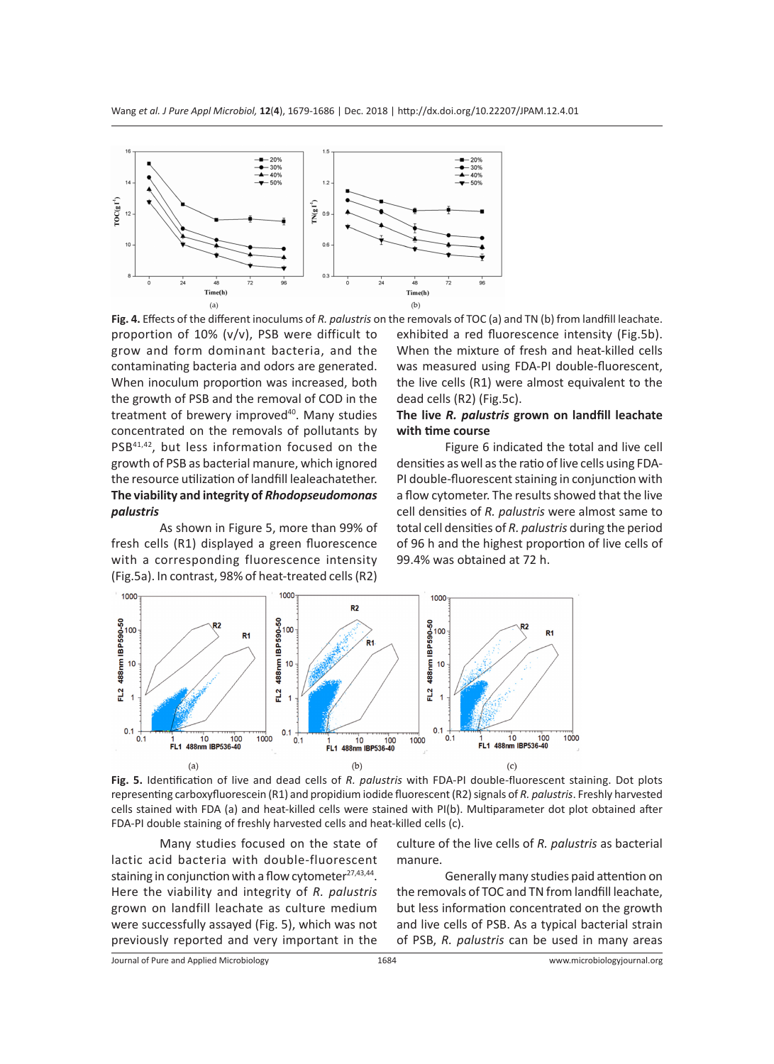

**Fig. 4.** Effects of the different inoculums of *R. palustris* on the removals of TOC (a) and TN (b) from landfill leachate. proportion of 10% (v/v), PSB were difficult to grow and form dominant bacteria, and the contaminating bacteria and odors are generated. When inoculum proportion was increased, both the growth of PSB and the removal of COD in the treatment of brewery improved<sup>40</sup>. Many studies concentrated on the removals of pollutants by PSB41,42, but less information focused on the growth of PSB as bacterial manure, which ignored the resource utilization of landfill lealeachatether. **The viability and integrity of** *Rhodopseudomonas palustris*

As shown in Figure 5, more than 99% of fresh cells (R1) displayed a green fluorescence with a corresponding fluorescence intensity (Fig.5a). In contrast, 98% of heat-treated cells (R2)

exhibited a red fluorescence intensity (Fig.5b). When the mixture of fresh and heat-killed cells was measured using FDA-PI double-fluorescent, the live cells (R1) were almost equivalent to the dead cells (R2) (Fig.5c).

## **The live** *R. palustris* **grown on landfill leachate with time course**

Figure 6 indicated the total and live cell densities as well as the ratio of live cells using FDA-PI double-fluorescent staining in conjunction with a flow cytometer. The results showed that the live cell densities of *R. palustris* were almost same to total cell densities of *R. palustris* during the period of 96 h and the highest proportion of live cells of 99.4% was obtained at 72 h.





Many studies focused on the state of lactic acid bacteria with double-fluorescent staining in conjunction with a flow cytometer<sup>27,43,44</sup>. Here the viability and integrity of *R. palustris* grown on landfill leachate as culture medium were successfully assayed (Fig. 5), which was not previously reported and very important in the culture of the live cells of *R. palustris* as bacterial manure.

Generally many studies paid attention on the removals of TOC and TN from landfill leachate, but less information concentrated on the growth and live cells of PSB. As a typical bacterial strain of PSB, *R. palustris* can be used in many areas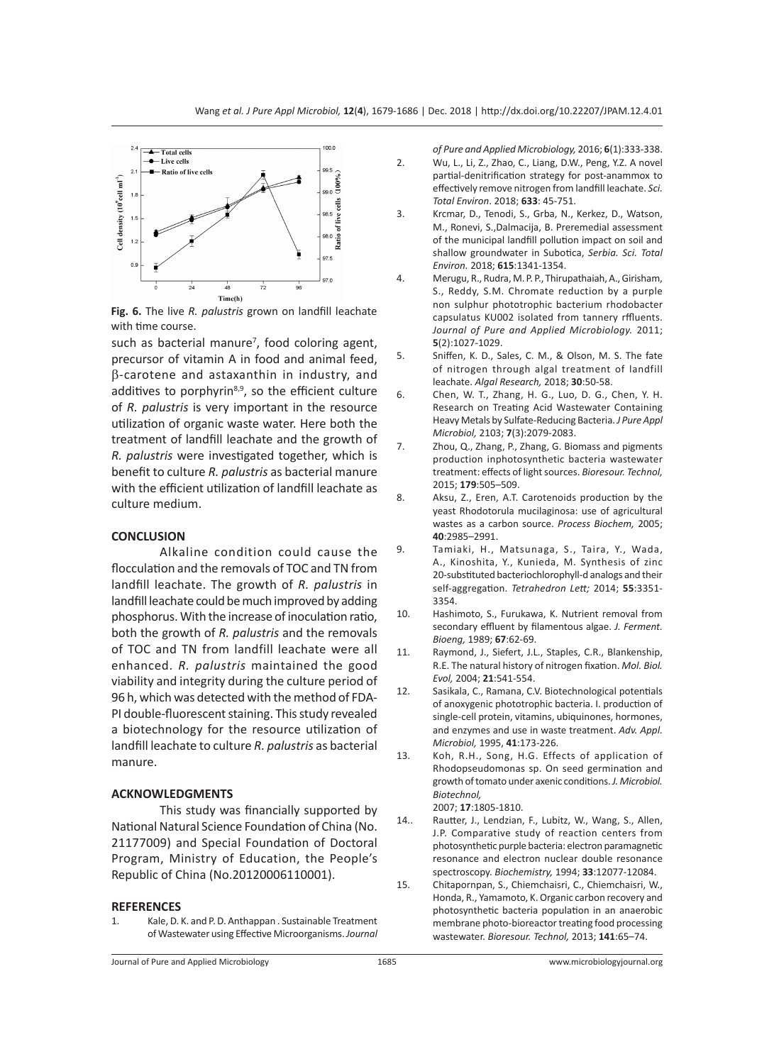

**Fig. 6.** The live *R. palustris* grown on landfill leachate with time course.

such as bacterial manure<sup>7</sup>, food coloring agent, precursor of vitamin A in food and animal feed, β-carotene and astaxanthin in industry, and additives to porphyrin<sup>8,9</sup>, so the efficient culture of *R. palustris* is very important in the resource utilization of organic waste water. Here both the treatment of landfill leachate and the growth of *R. palustris* were investigated together, which is benefit to culture *R. palustris* as bacterial manure with the efficient utilization of landfill leachate as culture medium.

#### **CONCLUSION**

Alkaline condition could cause the flocculation and the removals of TOC and TN from landfill leachate. The growth of *R. palustris* in landfill leachate could be much improved by adding phosphorus. With the increase of inoculation ratio, both the growth of *R. palustris* and the removals of TOC and TN from landfill leachate were all enhanced. *R. palustris* maintained the good viability and integrity during the culture period of 96 h, which was detected with the method of FDA-PI double-fluorescent staining. This study revealed a biotechnology for the resource utilization of landfill leachate to culture *R. palustris* as bacterial manure.

#### **ACKNOWLEDGMENTS**

This study was financially supported by National Natural Science Foundation of China (No. 21177009) and Special Foundation of Doctoral Program, Ministry of Education, the People's Republic of China (No.20120006110001).

#### **REFERENCES**

1. Kale, D. K. and P. D. Anthappan . Sustainable Treatment of Wastewater using Effective Microorganisms. *Journal*  *of Pure and Applied Microbiology,* 2016; **6**(1):333-338.

- 2. Wu, L., Li, Z., Zhao, C., Liang, D.W., Peng, Y.Z. A novel partial-denitrification strategy for post-anammox to effectively remove nitrogen from landfill leachate. *Sci. Total Environ*. 2018; **633**: 45-751.
- 3. Krcmar, D., Tenodi, S., Grba, N., Kerkez, D., Watson, M., Ronevi, S.,Dalmacija, B. Preremedial assessment of the municipal landfill pollution impact on soil and shallow groundwater in Subotica, *Serbia. Sci. Total Environ.* 2018; **615**:1341-1354.
- 4. Merugu, R., Rudra, M. P. P., Thirupathaiah, A., Girisham, S., Reddy, S.M. Chromate reduction by a purple non sulphur phototrophic bacterium rhodobacter capsulatus KU002 isolated from tannery rffluents. *Journal of Pure and Applied Microbiology.* 2011; **5**(2):1027-1029.
- 5. Sniffen, K. D., Sales, C. M., & Olson, M. S. The fate of nitrogen through algal treatment of landfill leachate. *Algal Research,* 2018; **30**:50-58.
- 6. Chen, W. T., Zhang, H. G., Luo, D. G., Chen, Y. H. Research on Treating Acid Wastewater Containing Heavy Metals by Sulfate-Reducing Bacteria. *J Pure Appl Microbiol,* 2103; **7**(3):2079-2083.
- 7. Zhou, Q., Zhang, P., Zhang, G. Biomass and pigments production inphotosynthetic bacteria wastewater treatment: effects of light sources. *Bioresour. Technol,*  2015; **179**:505–509.
- 8. Aksu, Z., Eren, A.T. Carotenoids production by the yeast Rhodotorula mucilaginosa: use of agricultural wastes as a carbon source. *Process Biochem,* 2005; **40**:2985–2991.
- 9. Tamiaki, H., Matsunaga, S., Taira, Y., Wada, A., Kinoshita, Y., Kunieda, M. Synthesis of zinc 20-substituted bacteriochlorophyll-d analogs and their self-aggregation. *Tetrahedron Lett;* 2014; **55**:3351- 3354.
- 10. Hashimoto, S., Furukawa, K. Nutrient removal from secondary effluent by filamentous algae. *J. Ferment. Bioeng,* 1989; **67**:62-69.
- 11. Raymond, J., Siefert, J.L., Staples, C.R., Blankenship, R.E. The natural history of nitrogen fixation. *Mol. Biol. Evol,* 2004; **21**:541-554.
- 12. Sasikala, C., Ramana, C.V. Biotechnological potentials of anoxygenic phototrophic bacteria. I. production of single-cell protein, vitamins, ubiquinones, hormones, and enzymes and use in waste treatment. *Adv. Appl. Microbiol,* 1995, **41**:173-226.
- 13. Koh, R.H., Song, H.G. Effects of application of Rhodopseudomonas sp. On seed germination and growth of tomato under axenic conditions. *J. Microbiol. Biotechnol,*

2007; **17**:1805-1810.

- 14.. Rautter, J., Lendzian, F., Lubitz, W., Wang, S., Allen, J.P. Comparative study of reaction centers from photosynthetic purple bacteria: electron paramagnetic resonance and electron nuclear double resonance spectroscopy. *Biochemistry,* 1994; **33**:12077-12084.
- 15. Chitapornpan, S., Chiemchaisri, C., Chiemchaisri, W., Honda, R., Yamamoto, K. Organic carbon recovery and photosynthetic bacteria population in an anaerobic membrane photo-bioreactor treating food processing wastewater. *Bioresour. Technol,* 2013; **141**:65–74.